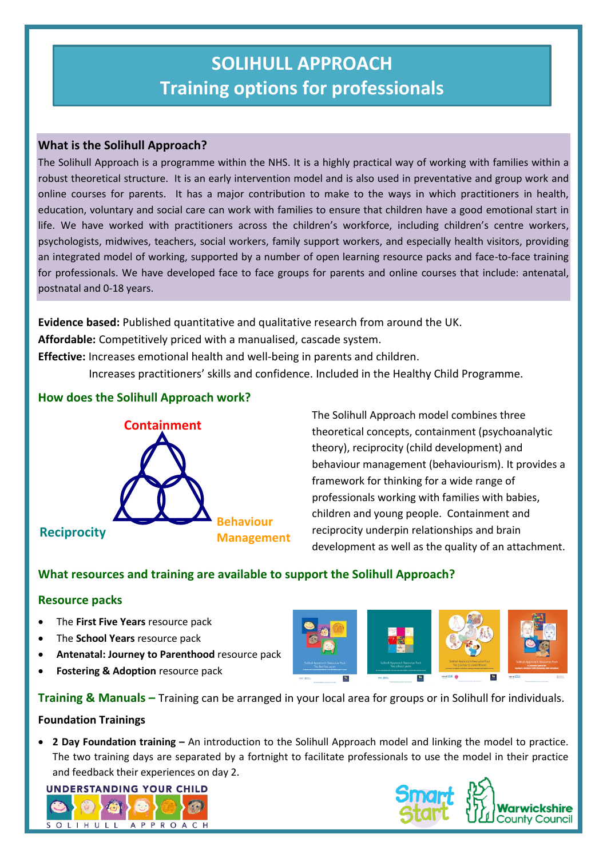# **SOLIHULL APPROACH Training options for professionals**

# **What is the Solihull Approach?**

The Solihull Approach is a programme within the NHS. It is a highly practical way of working with families within a robust theoretical structure. It is an early intervention model and is also used in preventative and group work and online courses for parents. It has a major contribution to make to the ways in which practitioners in health, education, voluntary and social care can work with families to ensure that children have a good emotional start in life. We have worked with practitioners across the children's workforce, including children's centre workers, psychologists, midwives, teachers, social workers, family support workers, and especially health visitors, providing an integrated model of working, supported by a number of open learning resource packs and face-to-face training for professionals. We have developed face to face groups for parents and online courses that include: antenatal, postnatal and 0-18 years.

**Evidence based:** Published quantitative and qualitative research from around the UK.

**Affordable:** Competitively priced with a manualised, cascade system.

**Effective:** Increases emotional health and well-being in parents and children.

Increases practitioners' skills and confidence. Included in the Healthy Child Programme.

# **How does the Solihull Approach work?**



The Solihull Approach model combines three theoretical concepts, containment (psychoanalytic theory), reciprocity (child development) and behaviour management (behaviourism). It provides a framework for thinking for a wide range of professionals working with families with babies, children and young people. Containment and reciprocity underpin relationships and brain development as well as the quality of an attachment.

# **What resources and training are available to support the Solihull Approach?**

# **Resource packs**

- The **First Five Years** resource pack
- The **School Years** resource pack
- **Antenatal: Journey to Parenthood** resource pack
- **Fostering & Adoption** resource pack



**Training & Manuals –** Training can be arranged in your local area for groups or in Solihull for individuals. **Foundation Trainings**

 **2 Day Foundation training –** An introduction to the Solihull Approach model and linking the model to practice. The two training days are separated by a fortnight to facilitate professionals to use the model in their practice and feedback their experiences on day 2.





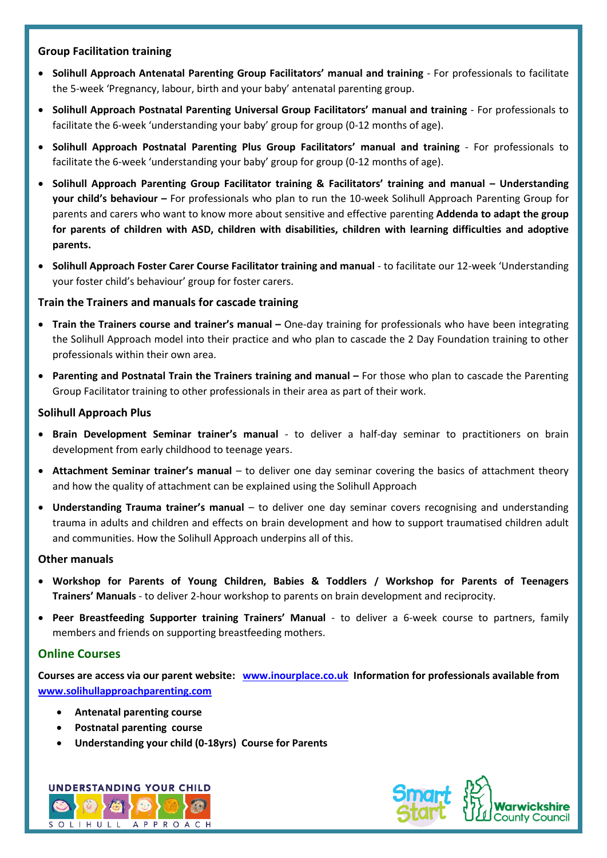## **Group Facilitation training**

- **Solihull Approach Antenatal Parenting Group Facilitators' manual and training**  For professionals to facilitate the 5-week 'Pregnancy, labour, birth and your baby' antenatal parenting group.
- **Solihull Approach Postnatal Parenting Universal Group Facilitators' manual and training**  For professionals to facilitate the 6-week 'understanding your baby' group for group (0-12 months of age).
- **Solihull Approach Postnatal Parenting Plus Group Facilitators' manual and training**  For professionals to facilitate the 6-week 'understanding your baby' group for group (0-12 months of age).
- **Solihull Approach Parenting Group Facilitator training & Facilitators' training and manual – Understanding your child's behaviour –** For professionals who plan to run the 10-week Solihull Approach Parenting Group for parents and carers who want to know more about sensitive and effective parenting **Addenda to adapt the group for parents of children with ASD, children with disabilities, children with learning difficulties and adoptive parents.**
- **Solihull Approach Foster Carer Course Facilitator training and manual** to facilitate our 12-week 'Understanding your foster child's behaviour' group for foster carers.

## **Train the Trainers and manuals for cascade training**

- **Train the Trainers course and trainer's manual –** One-day training for professionals who have been integrating the Solihull Approach model into their practice and who plan to cascade the 2 Day Foundation training to other professionals within their own area.
- **Parenting and Postnatal Train the Trainers training and manual –** For those who plan to cascade the Parenting Group Facilitator training to other professionals in their area as part of their work.

## **Solihull Approach Plus**

- **Brain Development Seminar trainer's manual** to deliver a half-day seminar to practitioners on brain development from early childhood to teenage years.
- **Attachment Seminar trainer's manual**  to deliver one day seminar covering the basics of attachment theory and how the quality of attachment can be explained using the Solihull Approach
- **Understanding Trauma trainer's manual** to deliver one day seminar covers recognising and understanding trauma in adults and children and effects on brain development and how to support traumatised children adult and communities. How the Solihull Approach underpins all of this.

#### **Other manuals**

- **Workshop for Parents of Young Children, Babies & Toddlers / Workshop for Parents of Teenagers Trainers' Manuals** - to deliver 2-hour workshop to parents on brain development and reciprocity.
- **Peer Breastfeeding Supporter training Trainers' Manual** to deliver a 6-week course to partners, family members and friends on supporting breastfeeding mothers.

# **Online Courses**

**Courses are access via our parent website: [www.inourplace.co.uk](http://www.inourplace.co.uk/) Information for professionals available from [www.solihullapproachparenting.com](http://www.solihullapproachparenting.com/)**

- **Antenatal parenting course**
- **Postnatal parenting course**
- **Understanding your child (0-18yrs) Course for Parents**



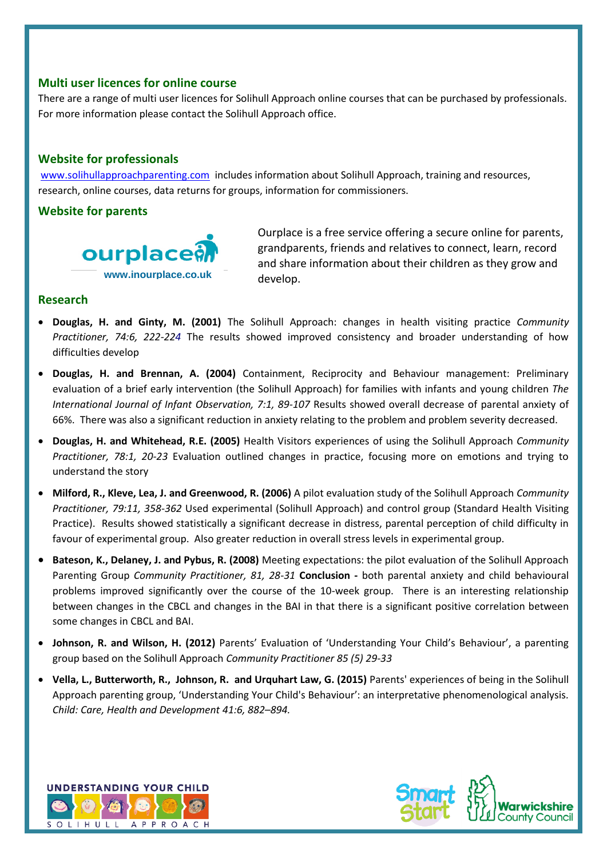## **Multi user licences for online course**

There are a range of multi user licences for Solihull Approach online courses that can be purchased by professionals. For more information please contact the Solihull Approach office.

# **Website for professionals**

[www.solihullapproachparenting.com](http://www.solihullapproachparenting.com/) includes information about Solihull Approach, training and resources, research, online courses, data returns for groups, information for commissioners.

## **Website for parents**



Ourplace is a free service offering a secure online for parents, grandparents, friends and relatives to connect, learn, record and share information about their children as they grow and develop.

# **Research**

- **Douglas, H. and Ginty, M. (2001)** The Solihull Approach: changes in health visiting practice *Community Practitioner, 74:6, 222-224* The results showed improved consistency and broader understanding of how difficulties develop
- **Douglas, H. and Brennan, A. (2004)** Containment, Reciprocity and Behaviour management: Preliminary evaluation of a brief early intervention (the Solihull Approach) for families with infants and young children *The International Journal of Infant Observation, 7:1, 89-107* Results showed overall decrease of parental anxiety of 66%. There was also a significant reduction in anxiety relating to the problem and problem severity decreased.
- **Douglas, H. and Whitehead, R.E. (2005)** Health Visitors experiences of using the Solihull Approach *Community Practitioner, 78:1, 20-23* Evaluation outlined changes in practice, focusing more on emotions and trying to understand the story
- **Milford, R., Kleve, Lea, J. and Greenwood, R. (2006)** A pilot evaluation study of the Solihull Approach *Community Practitioner, 79:11, 358-362* Used experimental (Solihull Approach) and control group (Standard Health Visiting Practice). Results showed statistically a significant decrease in distress, parental perception of child difficulty in favour of experimental group. Also greater reduction in overall stress levels in experimental group.
- **Bateson, K., Delaney, J. and Pybus, R. (2008)** Meeting expectations: the pilot evaluation of the Solihull Approach Parenting Group *Community Practitioner, 81, 28-31* **Conclusion -** both parental anxiety and child behavioural problems improved significantly over the course of the 10-week group. There is an interesting relationship between changes in the CBCL and changes in the BAI in that there is a significant positive correlation between some changes in CBCL and BAI.
- **Johnson, R. and Wilson, H. (2012)** Parents' Evaluation of 'Understanding Your Child's Behaviour', a parenting group based on the Solihull Approach *Community Practitioner 85 (5) 29-33*
- **Vella, L., Butterworth, R., Johnson, R. and Urquhart Law, G. (2015)** Parents' experiences of being in the Solihull Approach parenting group, 'Understanding Your Child's Behaviour': an interpretative phenomenological analysis*. Child: Care, Health and Development 41:6, 882–894.*